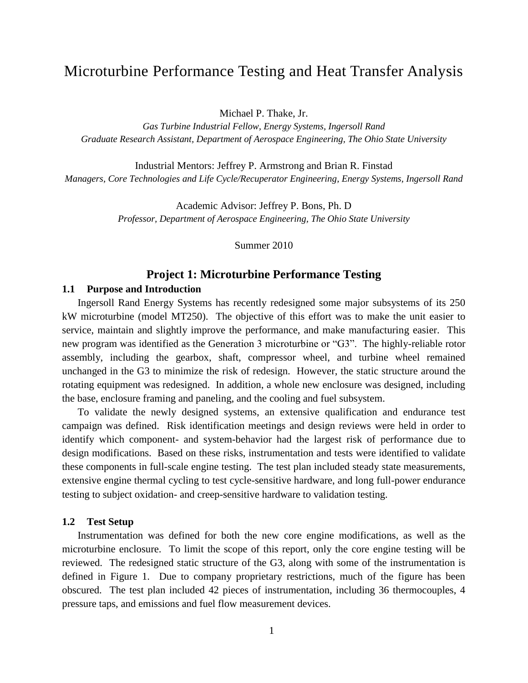# Microturbine Performance Testing and Heat Transfer Analysis

Michael P. Thake, Jr.

*Gas Turbine Industrial Fellow, Energy Systems, Ingersoll Rand Graduate Research Assistant, Department of Aerospace Engineering, The Ohio State University*

Industrial Mentors: Jeffrey P. Armstrong and Brian R. Finstad *Managers, Core Technologies and Life Cycle/Recuperator Engineering, Energy Systems, Ingersoll Rand*

> Academic Advisor: Jeffrey P. Bons, Ph. D *Professor, Department of Aerospace Engineering, The Ohio State University*

> > Summer 2010

# **Project 1: Microturbine Performance Testing**

### **1.1 Purpose and Introduction**

Ingersoll Rand Energy Systems has recently redesigned some major subsystems of its 250 kW microturbine (model MT250). The objective of this effort was to make the unit easier to service, maintain and slightly improve the performance, and make manufacturing easier. This new program was identified as the Generation 3 microturbine or "G3". The highly-reliable rotor assembly, including the gearbox, shaft, compressor wheel, and turbine wheel remained unchanged in the G3 to minimize the risk of redesign. However, the static structure around the rotating equipment was redesigned. In addition, a whole new enclosure was designed, including the base, enclosure framing and paneling, and the cooling and fuel subsystem.

To validate the newly designed systems, an extensive qualification and endurance test campaign was defined. Risk identification meetings and design reviews were held in order to identify which component- and system-behavior had the largest risk of performance due to design modifications. Based on these risks, instrumentation and tests were identified to validate these components in full-scale engine testing. The test plan included steady state measurements, extensive engine thermal cycling to test cycle-sensitive hardware, and long full-power endurance testing to subject oxidation- and creep-sensitive hardware to validation testing.

#### **1.2 Test Setup**

Instrumentation was defined for both the new core engine modifications, as well as the microturbine enclosure. To limit the scope of this report, only the core engine testing will be reviewed. The redesigned static structure of the G3, along with some of the instrumentation is defined in [Figure 1.](#page-1-0) Due to company proprietary restrictions, much of the figure has been obscured. The test plan included 42 pieces of instrumentation, including 36 thermocouples, 4 pressure taps, and emissions and fuel flow measurement devices.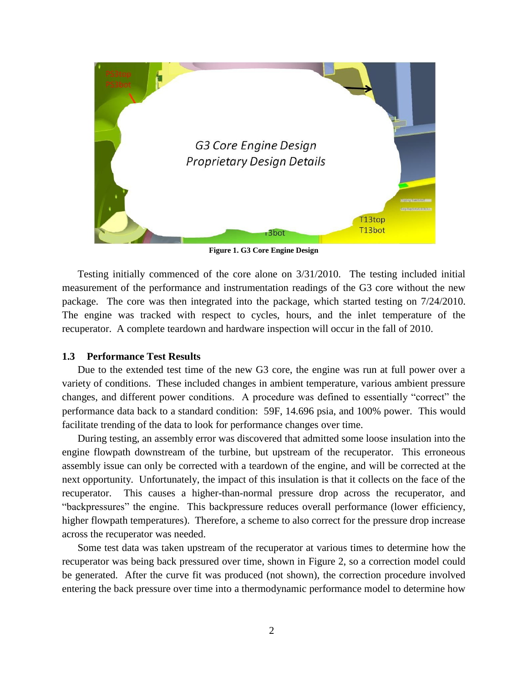

**Figure 1. G3 Core Engine Design**

<span id="page-1-0"></span>Testing initially commenced of the core alone on 3/31/2010. The testing included initial measurement of the performance and instrumentation readings of the G3 core without the new package. The core was then integrated into the package, which started testing on 7/24/2010. The engine was tracked with respect to cycles, hours, and the inlet temperature of the recuperator. A complete teardown and hardware inspection will occur in the fall of 2010.

# **1.3 Performance Test Results**

Due to the extended test time of the new G3 core, the engine was run at full power over a variety of conditions. These included changes in ambient temperature, various ambient pressure changes, and different power conditions. A procedure was defined to essentially "correct" the performance data back to a standard condition: 59F, 14.696 psia, and 100% power. This would facilitate trending of the data to look for performance changes over time.

During testing, an assembly error was discovered that admitted some loose insulation into the engine flowpath downstream of the turbine, but upstream of the recuperator. This erroneous assembly issue can only be corrected with a teardown of the engine, and will be corrected at the next opportunity. Unfortunately, the impact of this insulation is that it collects on the face of the recuperator. This causes a higher-than-normal pressure drop across the recuperator, and "backpressures" the engine. This backpressure reduces overall performance (lower efficiency, higher flowpath temperatures). Therefore, a scheme to also correct for the pressure drop increase across the recuperator was needed.

Some test data was taken upstream of the recuperator at various times to determine how the recuperator was being back pressured over time, shown in Figure 2, so a correction model could be generated. After the curve fit was produced (not shown), the correction procedure involved entering the back pressure over time into a thermodynamic performance model to determine how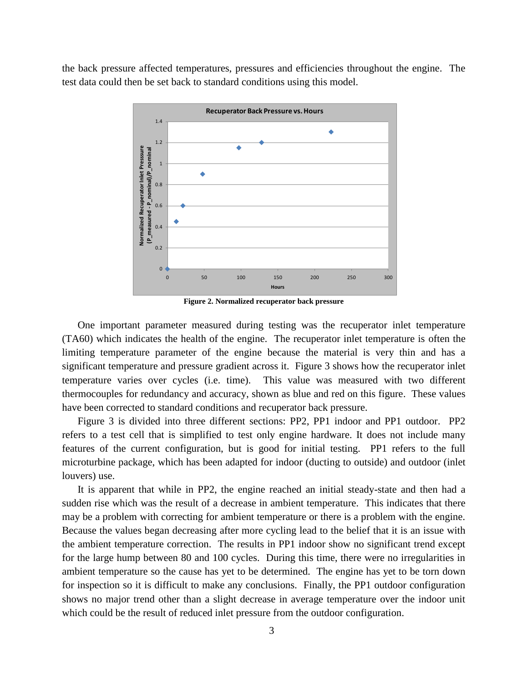the back pressure affected temperatures, pressures and efficiencies throughout the engine. The test data could then be set back to standard conditions using this model.



**Figure 2. Normalized recuperator back pressure**

One important parameter measured during testing was the recuperator inlet temperature (TA60) which indicates the health of the engine. The recuperator inlet temperature is often the limiting temperature parameter of the engine because the material is very thin and has a significant temperature and pressure gradient across it. Figure 3 shows how the recuperator inlet temperature varies over cycles (i.e. time). This value was measured with two different thermocouples for redundancy and accuracy, shown as blue and red on this figure. These values have been corrected to standard conditions and recuperator back pressure.

Figure 3 is divided into three different sections: PP2, PP1 indoor and PP1 outdoor. PP2 refers to a test cell that is simplified to test only engine hardware. It does not include many features of the current configuration, but is good for initial testing. PP1 refers to the full microturbine package, which has been adapted for indoor (ducting to outside) and outdoor (inlet louvers) use.

It is apparent that while in PP2, the engine reached an initial steady-state and then had a sudden rise which was the result of a decrease in ambient temperature. This indicates that there may be a problem with correcting for ambient temperature or there is a problem with the engine. Because the values began decreasing after more cycling lead to the belief that it is an issue with the ambient temperature correction. The results in PP1 indoor show no significant trend except for the large hump between 80 and 100 cycles. During this time, there were no irregularities in ambient temperature so the cause has yet to be determined. The engine has yet to be torn down for inspection so it is difficult to make any conclusions. Finally, the PP1 outdoor configuration shows no major trend other than a slight decrease in average temperature over the indoor unit which could be the result of reduced inlet pressure from the outdoor configuration.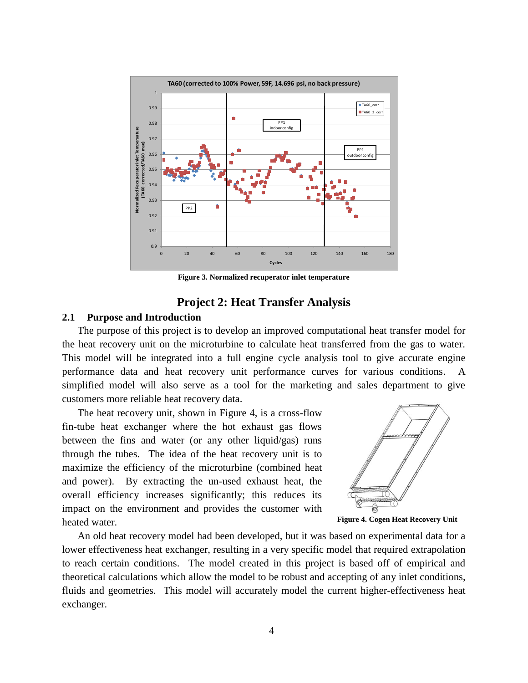

**Figure 3. Normalized recuperator inlet temperature**

# **Project 2: Heat Transfer Analysis**

# **2.1 Purpose and Introduction**

The purpose of this project is to develop an improved computational heat transfer model for the heat recovery unit on the microturbine to calculate heat transferred from the gas to water. This model will be integrated into a full engine cycle analysis tool to give accurate engine performance data and heat recovery unit performance curves for various conditions. A simplified model will also serve as a tool for the marketing and sales department to give customers more reliable heat recovery data.

The heat recovery unit, shown in Figure 4, is a cross-flow fin-tube heat exchanger where the hot exhaust gas flows between the fins and water (or any other liquid/gas) runs through the tubes. The idea of the heat recovery unit is to maximize the efficiency of the microturbine (combined heat and power). By extracting the un-used exhaust heat, the overall efficiency increases significantly; this reduces its impact on the environment and provides the customer with heated water.



**Figure 4. Cogen Heat Recovery Unit**

An old heat recovery model had been developed, but it was based on experimental data for a lower effectiveness heat exchanger, resulting in a very specific model that required extrapolation to reach certain conditions. The model created in this project is based off of empirical and theoretical calculations which allow the model to be robust and accepting of any inlet conditions, fluids and geometries. This model will accurately model the current higher-effectiveness heat exchanger.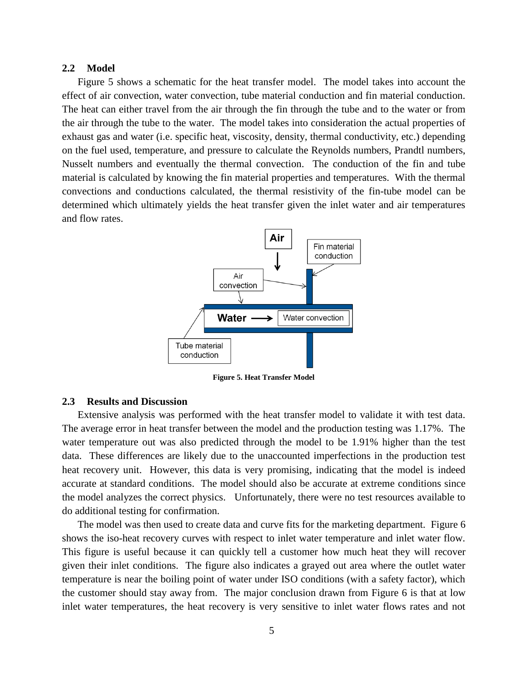### **2.2 Model**

Figure 5 shows a schematic for the heat transfer model. The model takes into account the effect of air convection, water convection, tube material conduction and fin material conduction. The heat can either travel from the air through the fin through the tube and to the water or from the air through the tube to the water. The model takes into consideration the actual properties of exhaust gas and water (i.e. specific heat, viscosity, density, thermal conductivity, etc.) depending on the fuel used, temperature, and pressure to calculate the Reynolds numbers, Prandtl numbers, Nusselt numbers and eventually the thermal convection. The conduction of the fin and tube material is calculated by knowing the fin material properties and temperatures. With the thermal convections and conductions calculated, the thermal resistivity of the fin-tube model can be determined which ultimately yields the heat transfer given the inlet water and air temperatures and flow rates.



**Figure 5. Heat Transfer Model**

### **2.3 Results and Discussion**

Extensive analysis was performed with the heat transfer model to validate it with test data. The average error in heat transfer between the model and the production testing was 1.17%. The water temperature out was also predicted through the model to be 1.91% higher than the test data. These differences are likely due to the unaccounted imperfections in the production test heat recovery unit. However, this data is very promising, indicating that the model is indeed accurate at standard conditions. The model should also be accurate at extreme conditions since the model analyzes the correct physics. Unfortunately, there were no test resources available to do additional testing for confirmation.

The model was then used to create data and curve fits for the marketing department. Figure 6 shows the iso-heat recovery curves with respect to inlet water temperature and inlet water flow. This figure is useful because it can quickly tell a customer how much heat they will recover given their inlet conditions. The figure also indicates a grayed out area where the outlet water temperature is near the boiling point of water under ISO conditions (with a safety factor), which the customer should stay away from. The major conclusion drawn from Figure 6 is that at low inlet water temperatures, the heat recovery is very sensitive to inlet water flows rates and not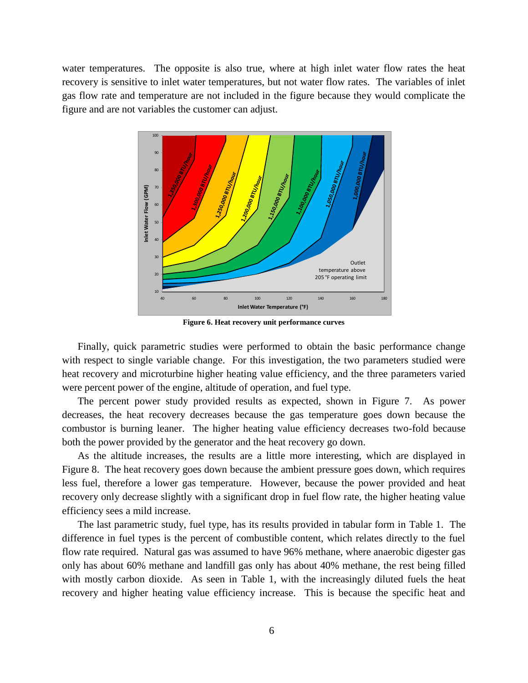water temperatures. The opposite is also true, where at high inlet water flow rates the heat recovery is sensitive to inlet water temperatures, but not water flow rates. The variables of inlet gas flow rate and temperature are not included in the figure because they would complicate the figure and are not variables the customer can adjust.



**Figure 6. Heat recovery unit performance curves**

Finally, quick parametric studies were performed to obtain the basic performance change with respect to single variable change. For this investigation, the two parameters studied were heat recovery and microturbine higher heating value efficiency, and the three parameters varied were percent power of the engine, altitude of operation, and fuel type.

The percent power study provided results as expected, shown in Figure 7. As power decreases, the heat recovery decreases because the gas temperature goes down because the combustor is burning leaner. The higher heating value efficiency decreases two-fold because both the power provided by the generator and the heat recovery go down.

As the altitude increases, the results are a little more interesting, which are displayed in Figure 8. The heat recovery goes down because the ambient pressure goes down, which requires less fuel, therefore a lower gas temperature. However, because the power provided and heat recovery only decrease slightly with a significant drop in fuel flow rate, the higher heating value efficiency sees a mild increase.

The last parametric study, fuel type, has its results provided in tabular form in Table 1. The difference in fuel types is the percent of combustible content, which relates directly to the fuel flow rate required. Natural gas was assumed to have 96% methane, where anaerobic digester gas only has about 60% methane and landfill gas only has about 40% methane, the rest being filled with mostly carbon dioxide. As seen in Table 1, with the increasingly diluted fuels the heat recovery and higher heating value efficiency increase. This is because the specific heat and